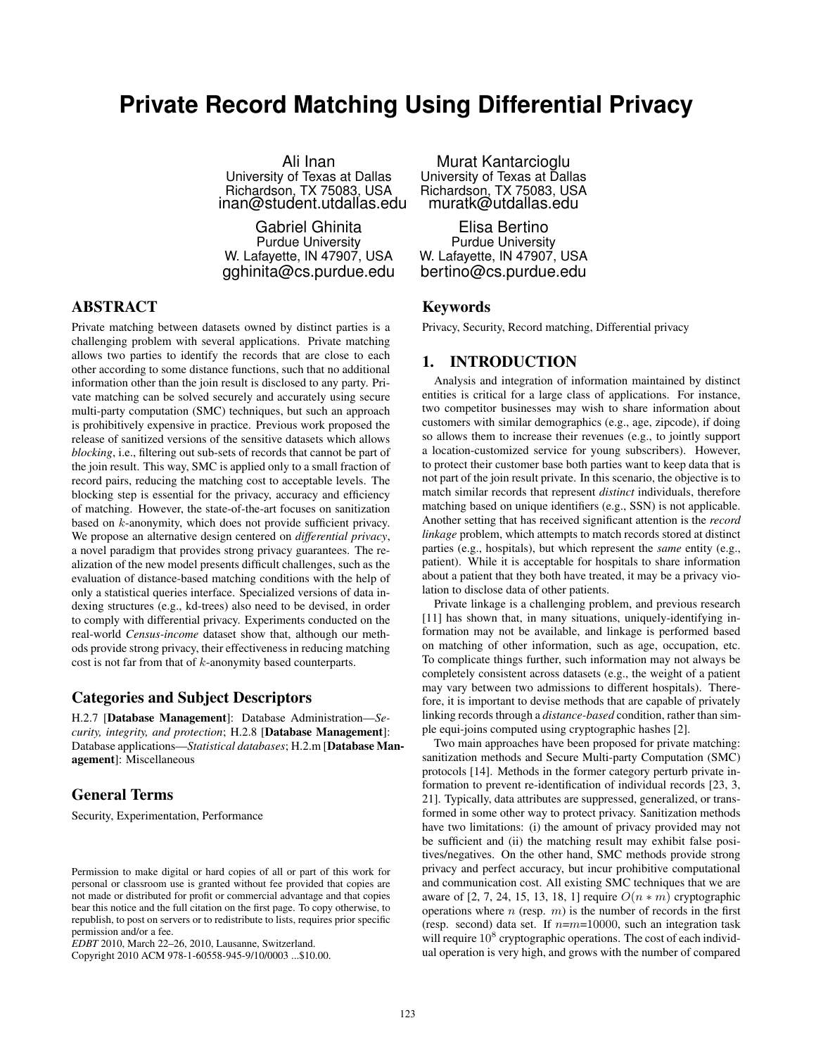# **Private Record Matching Using Differential Privacy**

Ali Inan University of Texas at Dallas Richardson, TX 75083, USA inan@student.utdallas.edu

Gabriel Ghinita Purdue University W. Lafayette, IN 47907, USA gghinita@cs.purdue.edu

ABSTRACT

Private matching between datasets owned by distinct parties is a challenging problem with several applications. Private matching allows two parties to identify the records that are close to each other according to some distance functions, such that no additional information other than the join result is disclosed to any party. Private matching can be solved securely and accurately using secure multi-party computation (SMC) techniques, but such an approach is prohibitively expensive in practice. Previous work proposed the release of sanitized versions of the sensitive datasets which allows *blocking*, i.e., filtering out sub-sets of records that cannot be part of the join result. This way, SMC is applied only to a small fraction of record pairs, reducing the matching cost to acceptable levels. The blocking step is essential for the privacy, accuracy and efficiency of matching. However, the state-of-the-art focuses on sanitization based on k-anonymity, which does not provide sufficient privacy. We propose an alternative design centered on *differential privacy*, a novel paradigm that provides strong privacy guarantees. The realization of the new model presents difficult challenges, such as the evaluation of distance-based matching conditions with the help of only a statistical queries interface. Specialized versions of data indexing structures (e.g., kd-trees) also need to be devised, in order to comply with differential privacy. Experiments conducted on the real-world *Census-income* dataset show that, although our methods provide strong privacy, their effectiveness in reducing matching cost is not far from that of k-anonymity based counterparts.

# Categories and Subject Descriptors

H.2.7 [Database Management]: Database Administration—*Security, integrity, and protection*; H.2.8 [Database Management]: Database applications—*Statistical databases*; H.2.m [Database Management]: Miscellaneous

# General Terms

Security, Experimentation, Performance

Murat Kantarcioglu University of Texas at Dallas Richardson, TX 75083, USA muratk@utdallas.edu

Elisa Bertino Purdue University W. Lafayette, IN 47907, USA bertino@cs.purdue.edu

#### Keywords

Privacy, Security, Record matching, Differential privacy

## 1. INTRODUCTION

Analysis and integration of information maintained by distinct entities is critical for a large class of applications. For instance, two competitor businesses may wish to share information about customers with similar demographics (e.g., age, zipcode), if doing so allows them to increase their revenues (e.g., to jointly support a location-customized service for young subscribers). However, to protect their customer base both parties want to keep data that is not part of the join result private. In this scenario, the objective is to match similar records that represent *distinct* individuals, therefore matching based on unique identifiers (e.g., SSN) is not applicable. Another setting that has received significant attention is the *record linkage* problem, which attempts to match records stored at distinct parties (e.g., hospitals), but which represent the *same* entity (e.g., patient). While it is acceptable for hospitals to share information about a patient that they both have treated, it may be a privacy violation to disclose data of other patients.

Private linkage is a challenging problem, and previous research [11] has shown that, in many situations, uniquely-identifying information may not be available, and linkage is performed based on matching of other information, such as age, occupation, etc. To complicate things further, such information may not always be completely consistent across datasets (e.g., the weight of a patient may vary between two admissions to different hospitals). Therefore, it is important to devise methods that are capable of privately linking records through a *distance-based* condition, rather than simple equi-joins computed using cryptographic hashes [2].

Two main approaches have been proposed for private matching: sanitization methods and Secure Multi-party Computation (SMC) protocols [14]. Methods in the former category perturb private information to prevent re-identification of individual records [23, 3, 21]. Typically, data attributes are suppressed, generalized, or transformed in some other way to protect privacy. Sanitization methods have two limitations: (i) the amount of privacy provided may not be sufficient and (ii) the matching result may exhibit false positives/negatives. On the other hand, SMC methods provide strong privacy and perfect accuracy, but incur prohibitive computational and communication cost. All existing SMC techniques that we are aware of [2, 7, 24, 15, 13, 18, 1] require  $O(n * m)$  cryptographic operations where  $n$  (resp.  $m$ ) is the number of records in the first (resp. second) data set. If  $n=m=10000$ , such an integration task will require  $10^8$  cryptographic operations. The cost of each individual operation is very high, and grows with the number of compared

Permission to make digital or hard copies of all or part of this work for personal or classroom use is granted without fee provided that copies are not made or distributed for profit or commercial advantage and that copies bear this notice and the full citation on the first page. To copy otherwise, to republish, to post on servers or to redistribute to lists, requires prior specific permission and/or a fee.

*EDBT* 2010, March 22–26, 2010, Lausanne, Switzerland.

Copyright 2010 ACM 978-1-60558-945-9/10/0003 ...\$10.00.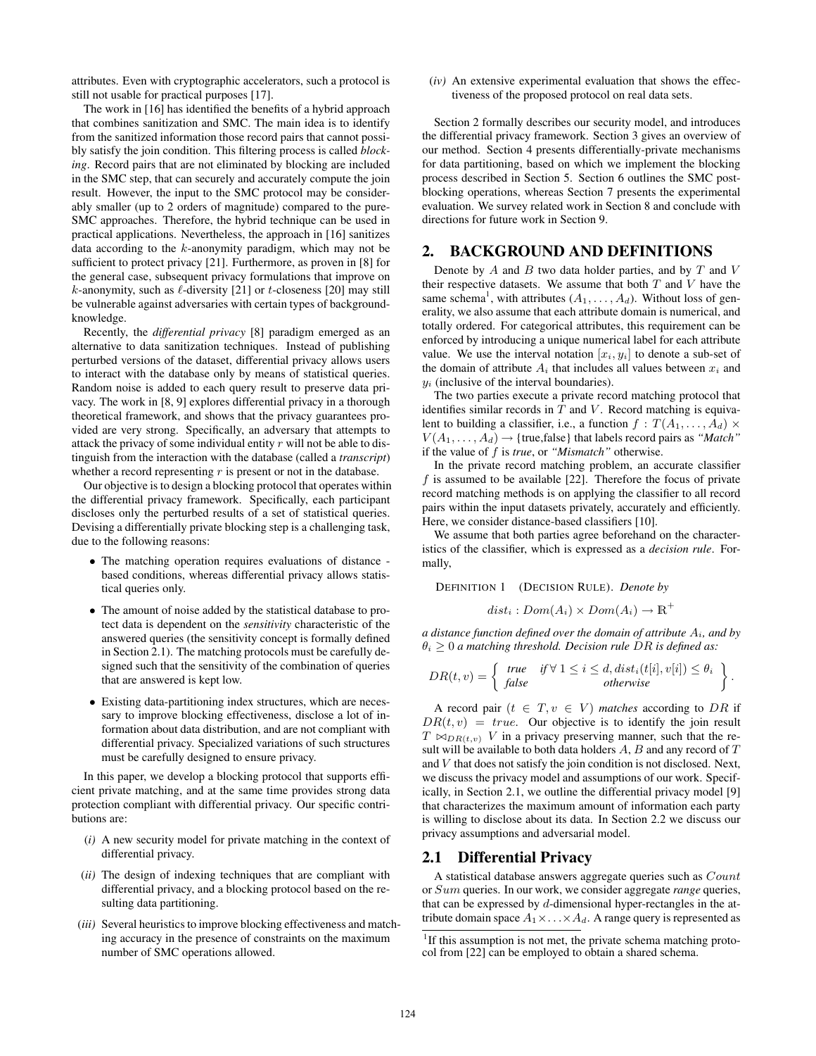attributes. Even with cryptographic accelerators, such a protocol is still not usable for practical purposes [17].

The work in [16] has identified the benefits of a hybrid approach that combines sanitization and SMC. The main idea is to identify from the sanitized information those record pairs that cannot possibly satisfy the join condition. This filtering process is called *blocking*. Record pairs that are not eliminated by blocking are included in the SMC step, that can securely and accurately compute the join result. However, the input to the SMC protocol may be considerably smaller (up to 2 orders of magnitude) compared to the pure-SMC approaches. Therefore, the hybrid technique can be used in practical applications. Nevertheless, the approach in [16] sanitizes data according to the  $k$ -anonymity paradigm, which may not be sufficient to protect privacy [21]. Furthermore, as proven in [8] for the general case, subsequent privacy formulations that improve on k-anonymity, such as  $\ell$ -diversity [21] or t-closeness [20] may still be vulnerable against adversaries with certain types of backgroundknowledge.

Recently, the *differential privacy* [8] paradigm emerged as an alternative to data sanitization techniques. Instead of publishing perturbed versions of the dataset, differential privacy allows users to interact with the database only by means of statistical queries. Random noise is added to each query result to preserve data privacy. The work in [8, 9] explores differential privacy in a thorough theoretical framework, and shows that the privacy guarantees provided are very strong. Specifically, an adversary that attempts to attack the privacy of some individual entity  $r$  will not be able to distinguish from the interaction with the database (called a *transcript*) whether a record representing  $r$  is present or not in the database.

Our objective is to design a blocking protocol that operates within the differential privacy framework. Specifically, each participant discloses only the perturbed results of a set of statistical queries. Devising a differentially private blocking step is a challenging task, due to the following reasons:

- The matching operation requires evaluations of distance based conditions, whereas differential privacy allows statistical queries only.
- The amount of noise added by the statistical database to protect data is dependent on the *sensitivity* characteristic of the answered queries (the sensitivity concept is formally defined in Section 2.1). The matching protocols must be carefully designed such that the sensitivity of the combination of queries that are answered is kept low.
- Existing data-partitioning index structures, which are necessary to improve blocking effectiveness, disclose a lot of information about data distribution, and are not compliant with differential privacy. Specialized variations of such structures must be carefully designed to ensure privacy.

In this paper, we develop a blocking protocol that supports efficient private matching, and at the same time provides strong data protection compliant with differential privacy. Our specific contributions are:

- (*i)* A new security model for private matching in the context of differential privacy.
- (*ii)* The design of indexing techniques that are compliant with differential privacy, and a blocking protocol based on the resulting data partitioning.
- (*iii)* Several heuristics to improve blocking effectiveness and matching accuracy in the presence of constraints on the maximum number of SMC operations allowed.

(*iv)* An extensive experimental evaluation that shows the effectiveness of the proposed protocol on real data sets.

Section 2 formally describes our security model, and introduces the differential privacy framework. Section 3 gives an overview of our method. Section 4 presents differentially-private mechanisms for data partitioning, based on which we implement the blocking process described in Section 5. Section 6 outlines the SMC postblocking operations, whereas Section 7 presents the experimental evaluation. We survey related work in Section 8 and conclude with directions for future work in Section 9.

# 2. BACKGROUND AND DEFINITIONS

Denote by  $A$  and  $B$  two data holder parties, and by  $T$  and  $V$ their respective datasets. We assume that both  $T$  and  $V$  have the same schema<sup>1</sup>, with attributes  $(A_1, \ldots, A_d)$ . Without loss of generality, we also assume that each attribute domain is numerical, and totally ordered. For categorical attributes, this requirement can be enforced by introducing a unique numerical label for each attribute value. We use the interval notation  $[x_i, y_i]$  to denote a sub-set of the domain of attribute  $A_i$  that includes all values between  $x_i$  and  $y_i$  (inclusive of the interval boundaries).

The two parties execute a private record matching protocol that identifies similar records in  $T$  and  $V$ . Record matching is equivalent to building a classifier, i.e., a function  $f : T(A_1, \ldots, A_d) \times$  $V(A_1, \ldots, A_d) \rightarrow \{$ true, false } that labels record pairs as "*Match*" if the value of f is *true*, or *"Mismatch"* otherwise.

In the private record matching problem, an accurate classifier f is assumed to be available [22]. Therefore the focus of private record matching methods is on applying the classifier to all record pairs within the input datasets privately, accurately and efficiently. Here, we consider distance-based classifiers [10].

We assume that both parties agree beforehand on the characteristics of the classifier, which is expressed as a *decision rule*. Formally,

DEFINITION 1 (DECISION RULE). *Denote by*

$$
dist_i: Dom(A_i) \times Dom(A_i) \to \mathbb{R}^+
$$

*a distance function defined over the domain of attribute* Ai*, and by*  $\theta_i \geq 0$  *a* matching threshold. Decision rule DR is defined as:

$$
DR(t, v) = \begin{cases} \text{true} & \text{if } \forall \ 1 \leq i \leq d, \text{dist}_i(t[i], v[i]) \leq \theta_i \\ \text{false} & \text{otherwise} \end{cases}.
$$

A record pair  $(t \in T, v \in V)$  *matches* according to DR if  $DR(t, v) = true$ . Our objective is to identify the join result  $T \bowtie_{DR(t,v)} V$  in a privacy preserving manner, such that the result will be available to both data holders  $A$ ,  $B$  and any record of  $T$ and V that does not satisfy the join condition is not disclosed. Next, we discuss the privacy model and assumptions of our work. Specifically, in Section 2.1, we outline the differential privacy model [9] that characterizes the maximum amount of information each party is willing to disclose about its data. In Section 2.2 we discuss our privacy assumptions and adversarial model.

# 2.1 Differential Privacy

A statistical database answers aggregate queries such as Count or Sum queries. In our work, we consider aggregate *range* queries, that can be expressed by  $d$ -dimensional hyper-rectangles in the attribute domain space  $A_1 \times \ldots \times A_d$ . A range query is represented as

<sup>&</sup>lt;sup>1</sup>If this assumption is not met, the private schema matching protocol from [22] can be employed to obtain a shared schema.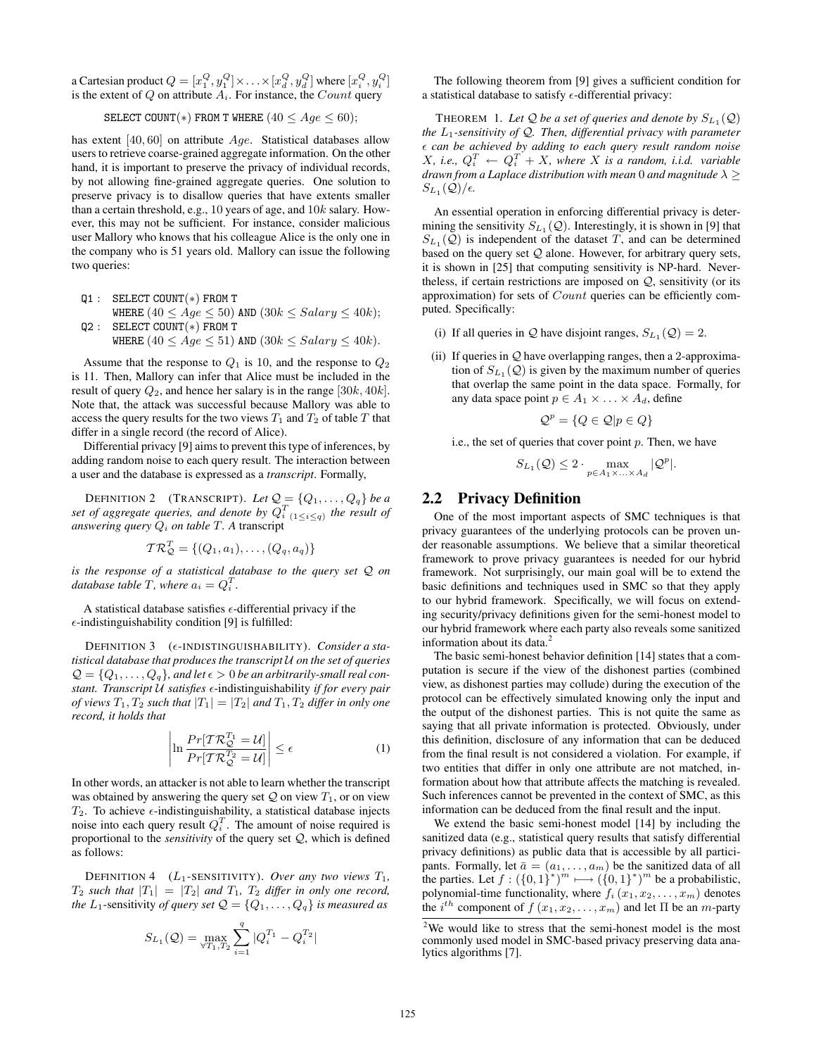a Cartesian product  $Q=[x_1^Q, y_1^Q]\times \ldots \times [x_d^Q, y_d^Q]$  where  $[x_i^Q, y_i^Q]$ is the extent of  $Q$  on attribute  $A_i$ . For instance, the  $Count$  query

SELECT COUNT(\*) FROM T WHERE 
$$
(40 \leq Age \leq 60)
$$
;

has extent  $[40, 60]$  on attribute  $Age$ . Statistical databases allow users to retrieve coarse-grained aggregate information. On the other hand, it is important to preserve the privacy of individual records, by not allowing fine-grained aggregate queries. One solution to preserve privacy is to disallow queries that have extents smaller than a certain threshold, e.g., 10 years of age, and 10k salary. However, this may not be sufficient. For instance, consider malicious user Mallory who knows that his colleague Alice is the only one in the company who is 51 years old. Mallory can issue the following two queries:

Q1 : SELECT COUNT(\*) FROM T WHERE  $(40 \leq Age \leq 50)$  AND  $(30k \leq Salary \leq 40k)$ ; Q2 : SELECT COUNT(\*) FROM T WHERE  $(40 \leq Age \leq 51)$  AND  $(30k \leq Salary \leq 40k)$ .

Assume that the response to  $Q_1$  is 10, and the response to  $Q_2$ is 11. Then, Mallory can infer that Alice must be included in the result of query  $Q_2$ , and hence her salary is in the range [30k, 40k]. Note that, the attack was successful because Mallory was able to access the query results for the two views  $T_1$  and  $T_2$  of table T that differ in a single record (the record of Alice).

Differential privacy [9] aims to prevent this type of inferences, by adding random noise to each query result. The interaction between a user and the database is expressed as a *transcript*. Formally,

**DEFINITION 2** (TRANSCRIPT). Let  $Q = \{Q_1, \ldots, Q_q\}$  be a set of aggregate queries, and denote by  $Q_{i}^T$ <sub>(1≤i≤q)</sub> the result of *answering query*  $Q_i$  *on table T. A transcript* 

$$
T\mathcal{R}_\mathcal{Q}^T = \{(Q_1, a_1), \ldots, (Q_q, a_q)\}
$$

*is the response of a statistical database to the query set* Q *on database table*  $T$ , where  $a_i = Q_i^T$ .

A statistical database satisfies  $\epsilon$ -differential privacy if the  $\epsilon$ -indistinguishability condition [9] is fulfilled:

DEFINITION 3 ( $\epsilon$ -INDISTINGUISHABILITY). *Consider a statistical database that produces the transcript* U *on the set of queries*  $\mathcal{Q} = \{Q_1, \ldots, Q_q\}$ , and let  $\epsilon > 0$  be an arbitrarily-small real con*stant. Transcript* U *satisfies* ²-indistinguishability *if for every pair of views*  $T_1, T_2$  *such that*  $|T_1| = |T_2|$  *and*  $T_1, T_2$  *differ in only one record, it holds that*  $\overline{a}$  $\overline{a}$ 

$$
\left|\ln \frac{Pr[\mathcal{TR}_{\mathcal{Q}}^{T_1} = \mathcal{U}]}{Pr[\mathcal{TR}_{\mathcal{Q}}^{T_2} = \mathcal{U}]} \right| \le \epsilon \tag{1}
$$

In other words, an attacker is not able to learn whether the transcript was obtained by answering the query set  $Q$  on view  $T_1$ , or on view  $T_2$ . To achieve  $\epsilon$ -indistinguishability, a statistical database injects noise into each query result  $Q_i^T$ . The amount of noise required is proportional to the *sensitivity* of the query set Q, which is defined as follows:

DEFINITION 4  $(L_1$ -SENSITIVITY). *Over any two views*  $T_1$ ,  $T_2$  *such that*  $|T_1| = |T_2|$  *and*  $T_1$ ,  $T_2$  *differ in only one record, the* L<sub>1</sub>-sensitivity *of query set*  $Q = \{Q_1, \ldots, Q_q\}$  *is measured as* 

$$
S_{L_1}(\mathcal{Q})=\max_{\forall T_1,T_2}\sum_{i=1}^q|Q_i^{T_1}-Q_i^{T_2}|
$$

The following theorem from [9] gives a sufficient condition for a statistical database to satisfy  $\epsilon$ -differential privacy:

**THEOREM** 1. Let Q be a set of queries and denote by  $S_{L_1}(\mathcal{Q})$ *the* L1*-sensitivity of* Q*. Then, differential privacy with parameter* ² *can be achieved by adding to each query result random noise*  $X$ , *i.e.*,  $Q_i^T \leftarrow Q_i^T + X$ , where X is a random, *i.i.d.* variable *drawn from a Laplace distribution with mean* 0 *and magnitude*  $\lambda \geq$  $S_{L_1}(\mathcal{Q})/\epsilon$ .

An essential operation in enforcing differential privacy is determining the sensitivity  $S_{L_1}(\mathcal{Q})$ . Interestingly, it is shown in [9] that  $S_{L_1}(\mathcal{Q})$  is independent of the dataset T, and can be determined based on the query set  $Q$  alone. However, for arbitrary query sets, it is shown in [25] that computing sensitivity is NP-hard. Nevertheless, if certain restrictions are imposed on  $Q$ , sensitivity (or its approximation) for sets of Count queries can be efficiently computed. Specifically:

- (i) If all queries in  $Q$  have disjoint ranges,  $S_{L_1}(Q) = 2$ .
- (ii) If queries in  $Q$  have overlapping ranges, then a 2-approximation of  $S_{L_1}(\mathcal{Q})$  is given by the maximum number of queries that overlap the same point in the data space. Formally, for any data space point  $p \in A_1 \times \ldots \times A_d$ , define

$$
\mathcal{Q}^p = \{Q \in \mathcal{Q} | p \in Q\}
$$

i.e., the set of queries that cover point  $p$ . Then, we have

$$
S_{L_1}(\mathcal{Q}) \leq 2 \cdot \max_{p \in A_1 \times ... \times A_d} |\mathcal{Q}^p|.
$$

# 2.2 Privacy Definition

One of the most important aspects of SMC techniques is that privacy guarantees of the underlying protocols can be proven under reasonable assumptions. We believe that a similar theoretical framework to prove privacy guarantees is needed for our hybrid framework. Not surprisingly, our main goal will be to extend the basic definitions and techniques used in SMC so that they apply to our hybrid framework. Specifically, we will focus on extending security/privacy definitions given for the semi-honest model to our hybrid framework where each party also reveals some sanitized information about its data.<sup>2</sup>

The basic semi-honest behavior definition [14] states that a computation is secure if the view of the dishonest parties (combined view, as dishonest parties may collude) during the execution of the protocol can be effectively simulated knowing only the input and the output of the dishonest parties. This is not quite the same as saying that all private information is protected. Obviously, under this definition, disclosure of any information that can be deduced from the final result is not considered a violation. For example, if two entities that differ in only one attribute are not matched, information about how that attribute affects the matching is revealed. Such inferences cannot be prevented in the context of SMC, as this information can be deduced from the final result and the input.

We extend the basic semi-honest model [14] by including the sanitized data (e.g., statistical query results that satisfy differential privacy definitions) as public data that is accessible by all participants. Formally, let  $\bar{a} = (a_1, \ldots, a_m)$  be the sanitized data of all the parties. Let  $f: (\{0,1\}^*)^m \longmapsto (\{0,1\}^*)^m$  be a probabilistic, polynomial-time functionality, where  $f_i(x_1, x_2, \ldots, x_m)$  denotes the  $i^{th}$  component of  $f(x_1, x_2, \ldots, x_m)$  and let  $\Pi$  be an m-party

 $2$ We would like to stress that the semi-honest model is the most commonly used model in SMC-based privacy preserving data analytics algorithms [7].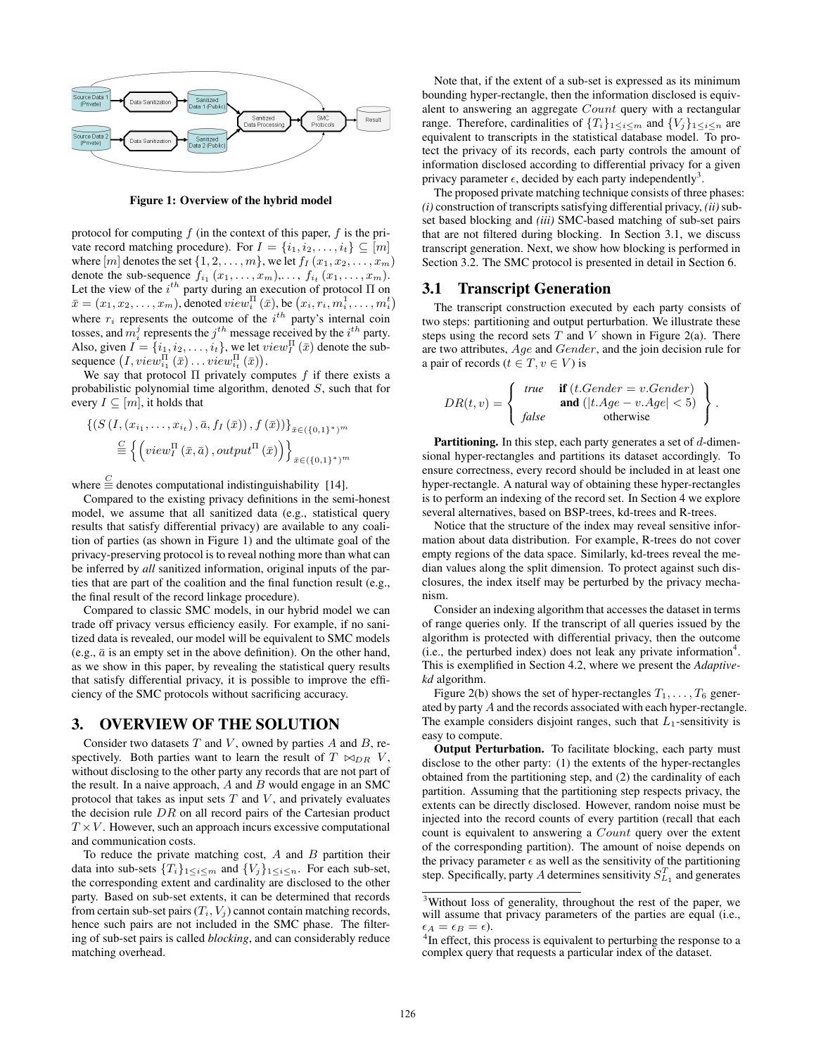

Figure 1: Overview of the hybrid model

protocol for computing  $f$  (in the context of this paper,  $f$  is the private record matching procedure). For  $I = \{i_1, i_2, \ldots, i_t\} \subseteq [m]$ where  $[m]$  denotes the set  $\{1, 2, \ldots, m\}$ , we let  $f_I(x_1, x_2, \ldots, x_m)$ denote the sub-sequence  $f_{i_1}(x_1,\ldots,x_m),\ldots,f_{i_t}(x_1,\ldots,x_m)$ . Let the view of the  $i^{th}$  party during an execution of protocol  $\Pi$  on Let the view of the  $i^{**}$  party during an execution of protocol 11 on  $\bar{x} = (x_1, x_2, \dots, x_m)$ , denoted  $view_i^{\Pi}(\bar{x})$ , be  $(x_i, r_i, m_i^1, \dots, m_i^t)$ where  $r_i$  represents the outcome of the  $i^{th}$  party's internal coin tosses, and  $\hat{m}_i^j$  represents the  $j^{th}$  message received by the  $i^{th}$  party. Also, given  $I = \{i_1, i_2, \ldots, i_t\}$ , we let  $view_I^{\Pi}(\bar{x})$  denote the sub-Also, given  $I = \{i_1, i_2, \dots, i_t\}$ , we let v<br>sequence  $\left(I, view_{i_1}^{\Pi}(\bar{x}) \dots view_{i_t}^{\Pi}(\bar{x})\right)$ .

We say that protocol  $\Pi$  privately computes  $f$  if there exists a probabilistic polynomial time algorithm, denoted S, such that for every  $I \subseteq [m]$ , it holds that

$$
\begin{aligned} \left\{ \left( S\left( I, (x_{i_1}, \ldots, x_{i_t}) \,, \bar{a}, f_I\left(\bar{x}\right) \right), f\left(\bar{x}\right) \right) \right\}_{\bar{x} \in (\{0, 1\}^*)^m} \\ \stackrel{\text{C}}{=} \left\{ \left( view_I^{\Pi}\left(\bar{x}, \bar{a}\right), output^{\Pi}\left(\bar{x}\right) \right) \right\}_{\bar{x} \in (\{0, 1\}^*)^m} \end{aligned}
$$

where  $\stackrel{C}{\equiv}$  denotes computational indistinguishability [14].

Compared to the existing privacy definitions in the semi-honest model, we assume that all sanitized data (e.g., statistical query results that satisfy differential privacy) are available to any coalition of parties (as shown in Figure 1) and the ultimate goal of the privacy-preserving protocol is to reveal nothing more than what can be inferred by *all* sanitized information, original inputs of the parties that are part of the coalition and the final function result (e.g., the final result of the record linkage procedure).

Compared to classic SMC models, in our hybrid model we can trade off privacy versus efficiency easily. For example, if no sanitized data is revealed, our model will be equivalent to SMC models (e.g.,  $\bar{a}$  is an empty set in the above definition). On the other hand, as we show in this paper, by revealing the statistical query results that satisfy differential privacy, it is possible to improve the efficiency of the SMC protocols without sacrificing accuracy.

# 3. OVERVIEW OF THE SOLUTION

Consider two datasets  $T$  and  $V$ , owned by parties  $A$  and  $B$ , respectively. Both parties want to learn the result of  $T \bowtie_{DR} V$ , without disclosing to the other party any records that are not part of the result. In a naive approach,  $A$  and  $B$  would engage in an SMC protocol that takes as input sets  $T$  and  $V$ , and privately evaluates the decision rule  $DR$  on all record pairs of the Cartesian product  $T \times V$ . However, such an approach incurs excessive computational and communication costs.

To reduce the private matching cost,  $A$  and  $B$  partition their data into sub-sets  ${T_i}_{1 \leq i \leq m}$  and  ${V_j}_{1 \leq i \leq n}$ . For each sub-set, the corresponding extent and cardinality are disclosed to the other party. Based on sub-set extents, it can be determined that records from certain sub-set pairs  $(T_i, V_j)$  cannot contain matching records, hence such pairs are not included in the SMC phase. The filtering of sub-set pairs is called *blocking*, and can considerably reduce matching overhead.

Note that, if the extent of a sub-set is expressed as its minimum bounding hyper-rectangle, then the information disclosed is equivalent to answering an aggregate Count query with a rectangular range. Therefore, cardinalities of  ${T_i}_{1 \leq i \leq m}$  and  ${V_j}_{1 \leq i \leq n}$  are equivalent to transcripts in the statistical database model. To protect the privacy of its records, each party controls the amount of information disclosed according to differential privacy for a given privacy parameter  $\epsilon$ , decided by each party independently<sup>3</sup>.

The proposed private matching technique consists of three phases: *(i)* construction of transcripts satisfying differential privacy, *(ii)* subset based blocking and *(iii)* SMC-based matching of sub-set pairs that are not filtered during blocking. In Section 3.1, we discuss transcript generation. Next, we show how blocking is performed in Section 3.2. The SMC protocol is presented in detail in Section 6.

## 3.1 Transcript Generation

The transcript construction executed by each party consists of two steps: partitioning and output perturbation. We illustrate these steps using the record sets  $T$  and  $V$  shown in Figure 2(a). There are two attributes, Age and Gender, and the join decision rule for a pair of records ( $t \in T, v \in V$ ) is

$$
DR(t, v) = \begin{cases} \text{true} & \text{if } (t.Gender = v.Gender) \\ \text{and } (|t.Age - v.Age| < 5) \\ \text{false} & \text{otherwise} \end{cases}.
$$

**Partitioning.** In this step, each party generates a set of  $d$ -dimensional hyper-rectangles and partitions its dataset accordingly. To ensure correctness, every record should be included in at least one hyper-rectangle. A natural way of obtaining these hyper-rectangles is to perform an indexing of the record set. In Section 4 we explore several alternatives, based on BSP-trees, kd-trees and R-trees.

Notice that the structure of the index may reveal sensitive information about data distribution. For example, R-trees do not cover empty regions of the data space. Similarly, kd-trees reveal the median values along the split dimension. To protect against such disclosures, the index itself may be perturbed by the privacy mechanism.

Consider an indexing algorithm that accesses the dataset in terms of range queries only. If the transcript of all queries issued by the algorithm is protected with differential privacy, then the outcome  $(i.e., the perturbed index) does not leak any private information<sup>4</sup>.$ This is exemplified in Section 4.2, where we present the *Adaptivekd* algorithm.

Figure 2(b) shows the set of hyper-rectangles  $T_1, \ldots, T_6$  generated by party A and the records associated with each hyper-rectangle. The example considers disjoint ranges, such that  $L_1$ -sensitivity is easy to compute.

Output Perturbation. To facilitate blocking, each party must disclose to the other party: (1) the extents of the hyper-rectangles obtained from the partitioning step, and (2) the cardinality of each partition. Assuming that the partitioning step respects privacy, the extents can be directly disclosed. However, random noise must be injected into the record counts of every partition (recall that each count is equivalent to answering a Count query over the extent of the corresponding partition). The amount of noise depends on the privacy parameter  $\epsilon$  as well as the sensitivity of the partitioning step. Specifically, party A determines sensitivity  $S_{L_1}^T$  and generates

<sup>3</sup>Without loss of generality, throughout the rest of the paper, we will assume that privacy parameters of the parties are equal (i.e.,  $\epsilon_A = \epsilon_B = \epsilon$ ).

<sup>&</sup>lt;sup>4</sup>In effect, this process is equivalent to perturbing the response to a complex query that requests a particular index of the dataset.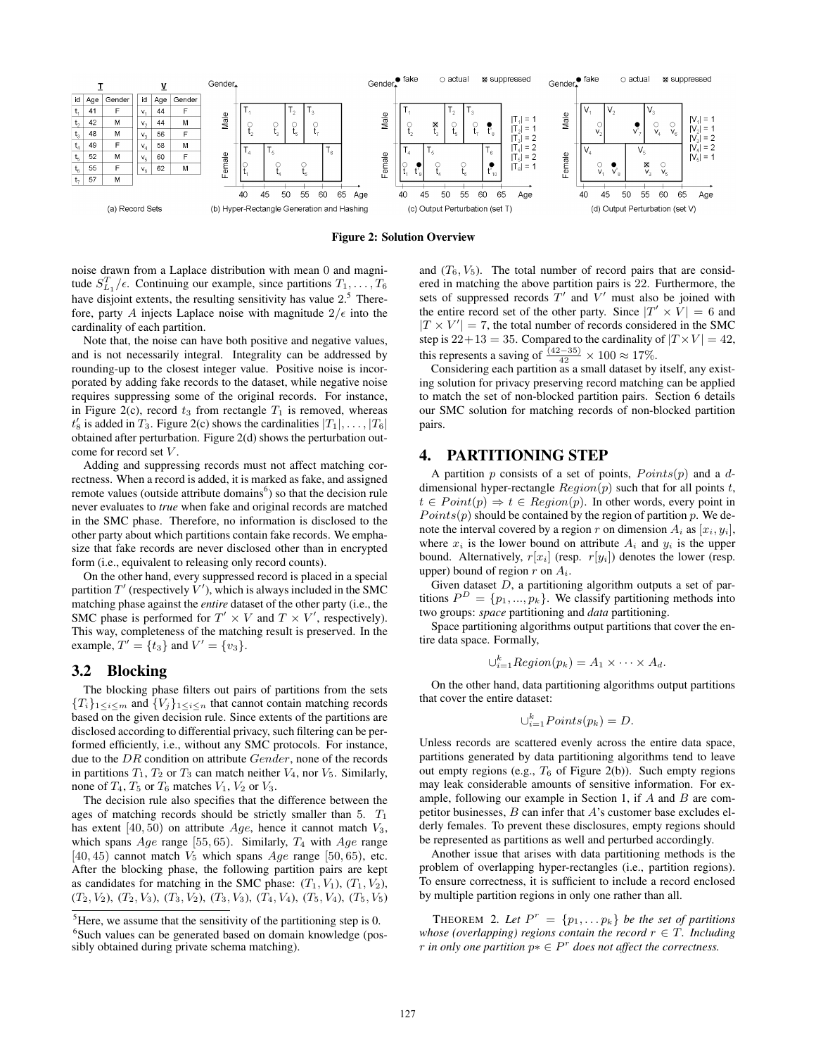

Figure 2: Solution Overview

noise drawn from a Laplace distribution with mean 0 and magnitude  $S_{L_1}^T/\epsilon$ . Continuing our example, since partitions  $T_1, \ldots, T_6$ have disjoint extents, the resulting sensitivity has value  $2<sup>5</sup>$ . Therefore, party A injects Laplace noise with magnitude  $2/\epsilon$  into the cardinality of each partition.

Note that, the noise can have both positive and negative values, and is not necessarily integral. Integrality can be addressed by rounding-up to the closest integer value. Positive noise is incorporated by adding fake records to the dataset, while negative noise requires suppressing some of the original records. For instance, in Figure 2(c), record  $t_3$  from rectangle  $T_1$  is removed, whereas  $t'_8$  is added in  $T_3$ . Figure 2(c) shows the cardinalities  $|T_1|, \ldots, |T_6|$ obtained after perturbation. Figure 2(d) shows the perturbation outcome for record set V.

Adding and suppressing records must not affect matching correctness. When a record is added, it is marked as fake, and assigned remote values (outside attribute domains $<sup>6</sup>$ ) so that the decision rule</sup> never evaluates to *true* when fake and original records are matched in the SMC phase. Therefore, no information is disclosed to the other party about which partitions contain fake records. We emphasize that fake records are never disclosed other than in encrypted form (i.e., equivalent to releasing only record counts).

On the other hand, every suppressed record is placed in a special partition  $T'$  (respectively  $V'$ ), which is always included in the SMC matching phase against the *entire* dataset of the other party (i.e., the SMC phase is performed for  $T' \times V$  and  $T \times V'$ , respectively). This way, completeness of the matching result is preserved. In the example,  $T' = \{t_3\}$  and  $V' = \{v_3\}.$ 

#### 3.2 Blocking

The blocking phase filters out pairs of partitions from the sets  ${T_i}_{1 \leq i \leq m}$  and  ${V_j}_{1 \leq i \leq n}$  that cannot contain matching records based on the given decision rule. Since extents of the partitions are disclosed according to differential privacy, such filtering can be performed efficiently, i.e., without any SMC protocols. For instance, due to the DR condition on attribute *Gender*, none of the records in partitions  $T_1$ ,  $T_2$  or  $T_3$  can match neither  $V_4$ , nor  $V_5$ . Similarly, none of  $T_4$ ,  $T_5$  or  $T_6$  matches  $V_1$ ,  $V_2$  or  $V_3$ .

The decision rule also specifies that the difference between the ages of matching records should be strictly smaller than  $5. T_1$ has extent [40, 50) on attribute  $Age$ , hence it cannot match  $V_3$ , which spans  $Age$  range [55, 65). Similarly,  $T_4$  with  $Age$  range [40, 45] cannot match  $V_5$  which spans  $Age$  range [50, 65], etc. After the blocking phase, the following partition pairs are kept as candidates for matching in the SMC phase:  $(T_1, V_1)$ ,  $(T_1, V_2)$ ,  $(T_2, V_2)$ ,  $(T_2, V_3)$ ,  $(T_3, V_2)$ ,  $(T_3, V_3)$ ,  $(T_4, V_4)$ ,  $(T_5, V_4)$ ,  $(T_5, V_5)$  and  $(T_6, V_5)$ . The total number of record pairs that are considered in matching the above partition pairs is 22. Furthermore, the sets of suppressed records  $T'$  and  $\overline{V}'$  must also be joined with the entire record set of the other party. Since  $|T' \times V| = 6$  and  $|T \times V'| = 7$ , the total number of records considered in the SMC step is  $22+13 = 35$ . Compared to the cardinality of  $|T \times V| = 42$ , this represents a saving of  $\frac{(42-35)}{42} \times 100 \approx 17\%$ .

Considering each partition as a small dataset by itself, any existing solution for privacy preserving record matching can be applied to match the set of non-blocked partition pairs. Section 6 details our SMC solution for matching records of non-blocked partition pairs.

#### 4. PARTITIONING STEP

A partition p consists of a set of points,  $Points(p)$  and a ddimensional hyper-rectangle  $Region(p)$  such that for all points t,  $t \in Point(p) \Rightarrow t \in Region(p)$ . In other words, every point in  $Points(p)$  should be contained by the region of partition p. We denote the interval covered by a region r on dimension  $A_i$  as  $[x_i, y_i]$ , where  $x_i$  is the lower bound on attribute  $A_i$  and  $y_i$  is the upper bound. Alternatively,  $r[x_i]$  (resp.  $r[y_i]$ ) denotes the lower (resp. upper) bound of region  $r$  on  $A_i$ .

Given dataset  $D$ , a partitioning algorithm outputs a set of partitions  $P^{D} = \{p_1, ..., p_k\}$ . We classify partitioning methods into two groups: *space* partitioning and *data* partitioning.

Space partitioning algorithms output partitions that cover the entire data space. Formally,

$$
\cup_{i=1}^k Region(p_k) = A_1 \times \cdots \times A_d.
$$

On the other hand, data partitioning algorithms output partitions that cover the entire dataset:

$$
\bigcup_{i=1}^k Points(p_k)=D.
$$

Unless records are scattered evenly across the entire data space, partitions generated by data partitioning algorithms tend to leave out empty regions (e.g.,  $T_6$  of Figure 2(b)). Such empty regions may leak considerable amounts of sensitive information. For example, following our example in Section 1, if  $A$  and  $B$  are competitor businesses,  $B$  can infer that  $A$ 's customer base excludes elderly females. To prevent these disclosures, empty regions should be represented as partitions as well and perturbed accordingly.

Another issue that arises with data partitioning methods is the problem of overlapping hyper-rectangles (i.e., partition regions). To ensure correctness, it is sufficient to include a record enclosed by multiple partition regions in only one rather than all.

THEOREM 2. Let  $P^r = \{p_1, \ldots p_k\}$  be the set of partitions *whose (overlapping) regions contain the record*  $r \in T$ *. Including r* in only one partition  $p^* \in P^r$  does not affect the correctness.

 ${}^{5}$ Here, we assume that the sensitivity of the partitioning step is 0. <sup>6</sup>Such values can be generated based on domain knowledge (possibly obtained during private schema matching).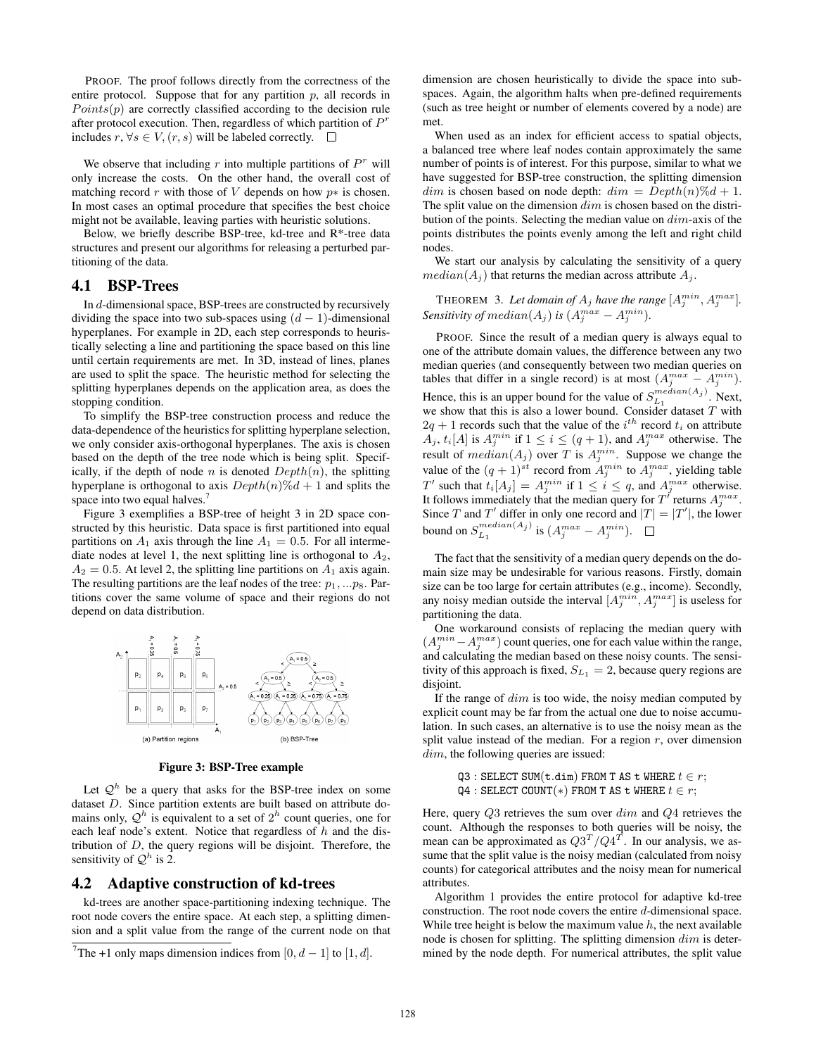PROOF. The proof follows directly from the correctness of the entire protocol. Suppose that for any partition  $p$ , all records in  $Points(p)$  are correctly classified according to the decision rule after protocol execution. Then, regardless of which partition of  $P<sup>r</sup>$ includes  $r, \forall s \in V, (r, s)$  will be labeled correctly. □

We observe that including  $r$  into multiple partitions of  $P^r$  will only increase the costs. On the other hand, the overall cost of matching record r with those of V depends on how  $p*$  is chosen. In most cases an optimal procedure that specifies the best choice might not be available, leaving parties with heuristic solutions.

Below, we briefly describe BSP-tree, kd-tree and R\*-tree data structures and present our algorithms for releasing a perturbed partitioning of the data.

## 4.1 BSP-Trees

In d-dimensional space, BSP-trees are constructed by recursively dividing the space into two sub-spaces using  $(d - 1)$ -dimensional hyperplanes. For example in 2D, each step corresponds to heuristically selecting a line and partitioning the space based on this line until certain requirements are met. In 3D, instead of lines, planes are used to split the space. The heuristic method for selecting the splitting hyperplanes depends on the application area, as does the stopping condition.

To simplify the BSP-tree construction process and reduce the data-dependence of the heuristics for splitting hyperplane selection, we only consider axis-orthogonal hyperplanes. The axis is chosen based on the depth of the tree node which is being split. Specifically, if the depth of node n is denoted  $Depth(n)$ , the splitting hyperplane is orthogonal to axis  $Depth(n)\%d+1$  and splits the space into two equal halves.<sup>7</sup>

Figure 3 exemplifies a BSP-tree of height 3 in 2D space constructed by this heuristic. Data space is first partitioned into equal partitions on  $A_1$  axis through the line  $A_1 = 0.5$ . For all intermediate nodes at level 1, the next splitting line is orthogonal to  $A_2$ ,  $A_2 = 0.5$ . At level 2, the splitting line partitions on  $A_1$  axis again. The resulting partitions are the leaf nodes of the tree:  $p_1, \ldots p_8$ . Partitions cover the same volume of space and their regions do not depend on data distribution.



Figure 3: BSP-Tree example

Let  $\mathcal{Q}^h$  be a query that asks for the BSP-tree index on some dataset D. Since partition extents are built based on attribute domains only,  $\mathcal{Q}^h$  is equivalent to a set of  $2^h$  count queries, one for each leaf node's extent. Notice that regardless of  $h$  and the distribution of  $D$ , the query regions will be disjoint. Therefore, the sensitivity of  $\mathcal{Q}^h$  is 2.

#### 4.2 Adaptive construction of kd-trees

kd-trees are another space-partitioning indexing technique. The root node covers the entire space. At each step, a splitting dimension and a split value from the range of the current node on that

dimension are chosen heuristically to divide the space into subspaces. Again, the algorithm halts when pre-defined requirements (such as tree height or number of elements covered by a node) are met.

When used as an index for efficient access to spatial objects, a balanced tree where leaf nodes contain approximately the same number of points is of interest. For this purpose, similar to what we have suggested for BSP-tree construction, the splitting dimension  $dim$  is chosen based on node depth:  $dim = Depth(n)\%d + 1$ . The split value on the dimension  $dim$  is chosen based on the distribution of the points. Selecting the median value on dim-axis of the points distributes the points evenly among the left and right child nodes.

We start our analysis by calculating the sensitivity of a query  $median(A_i)$  that returns the median across attribute  $A_i$ .

**THEOREM** 3. Let domain of  $A_j$  have the range  $[A_j^{min}, A_j^{max}]$ . *Sensitivity of median* $(A_j)$  *is*  $(A_j^{max} - A_j^{min})$ *.* 

PROOF. Since the result of a median query is always equal to one of the attribute domain values, the difference between any two median queries (and consequently between two median queries on tables that differ in a single record) is at most  $(A_j^{max} - A_j^{min})$ . Hence, this is an upper bound for the value of  $S_{L_1}^{median(A_j)}$ . Next, we show that this is also a lower bound. Consider dataset  $T$  with  $2q + 1$  records such that the value of the  $i<sup>th</sup>$  record  $t<sub>i</sub>$  on attribute  $A_j$ ,  $t_i[A]$  is  $A_j^{min}$  if  $1 \leq i \leq (q+1)$ , and  $A_j^{max}$  otherwise. The result of  $median(A_j)$  over T is  $A_j^{min}$ . Suppose we change the value of the  $(q + 1)^{st}$  record from  $A_j^{min}$  to  $A_j^{max}$ , yielding table T' such that  $t_i[A_j] = A_j^{min}$  if  $1 \le i \le q$ , and  $A_j^{max}$  otherwise. It follows immediately that the median query for  $T'$  returns  $A_j^{max}$ . Since T and T' differ in only one record and  $|T| = |T'|$ , the lower bound on  $S_{L_1}^{median(A_j)}$  is  $(A_j^{max} - A_j^{min})$ .

The fact that the sensitivity of a median query depends on the domain size may be undesirable for various reasons. Firstly, domain size can be too large for certain attributes (e.g., income). Secondly, any noisy median outside the interval  $[A_j^{min}, A_j^{max}]$  is useless for partitioning the data.

One workaround consists of replacing the median query with  $(A_j^{min} - A_j^{max})$  count queries, one for each value within the range, and calculating the median based on these noisy counts. The sensitivity of this approach is fixed,  $S_{L_1} = 2$ , because query regions are disjoint.

If the range of  $dim$  is too wide, the noisy median computed by explicit count may be far from the actual one due to noise accumulation. In such cases, an alternative is to use the noisy mean as the split value instead of the median. For a region  $r$ , over dimension dim, the following queries are issued:

> Q3 : SELECT SUM(t.dim) FROM T AS t WHERE  $t \in r$ ;  $Q4$  : SELECT COUNT(\*) FROM T AS t WHERE  $t \in r$ ;

Here, query  $Q3$  retrieves the sum over  $dim$  and  $Q4$  retrieves the count. Although the responses to both queries will be noisy, the mean can be approximated as  $Q3^T/Q4^T$ . In our analysis, we assume that the split value is the noisy median (calculated from noisy counts) for categorical attributes and the noisy mean for numerical attributes.

Algorithm 1 provides the entire protocol for adaptive kd-tree construction. The root node covers the entire d-dimensional space. While tree height is below the maximum value  $h$ , the next available node is chosen for splitting. The splitting dimension  $dim$  is determined by the node depth. For numerical attributes, the split value

<sup>&</sup>lt;sup>7</sup>The +1 only maps dimension indices from [0,  $d-1$ ] to [1, d].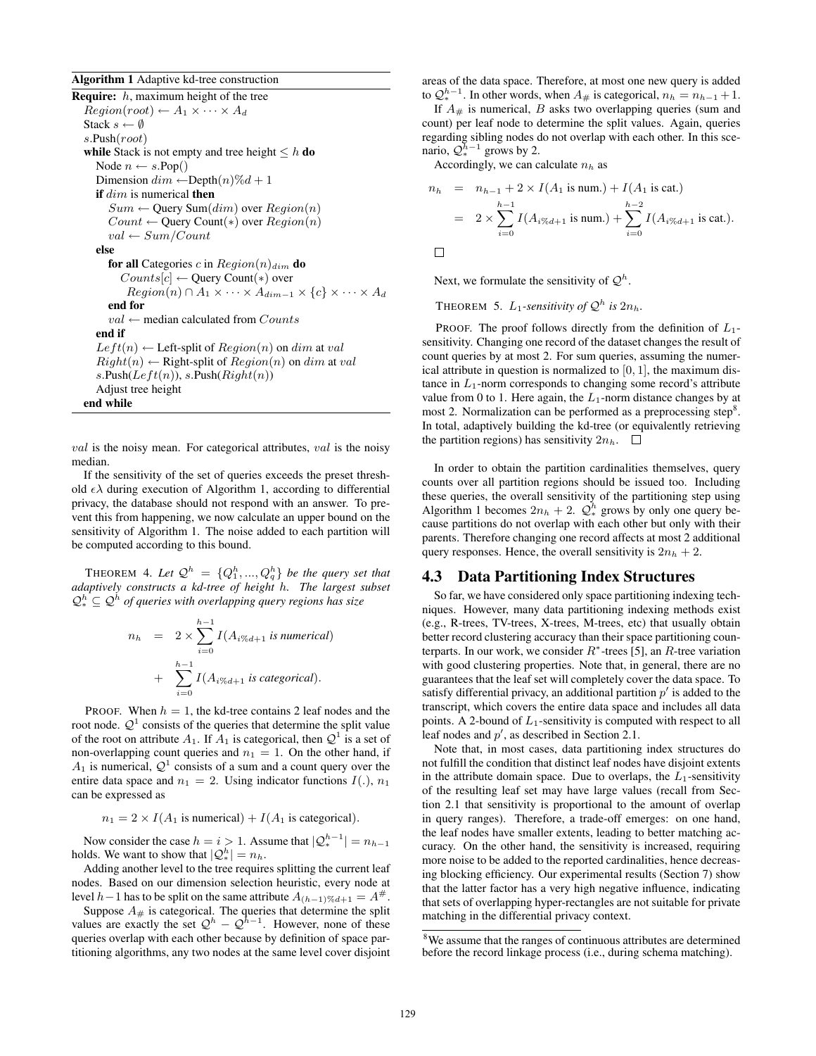Algorithm 1 Adaptive kd-tree construction

**Require:**  $h$ , maximum height of the tree  $Region(root) \leftarrow A_1 \times \cdots \times A_d$ Stack  $s \leftarrow \emptyset$ s.Push(root) while Stack is not empty and tree height  $\leq h$  do Node  $n \leftarrow s.\text{Pop}()$ Dimension  $dim \leftarrow \text{Depth}(n)\%d+1$ if  $dim$  is numerical then  $Sum \leftarrow$  Query Sum $(dim)$  over  $Region(n)$  $Count \leftarrow$  Query Count(\*) over  $Region(n)$  $val \leftarrow Sum/Count$ else for all Categories c in  $Region(n)<sub>dim</sub>$  do  $Counts[c] \leftarrow$  Query Count(\*) over  $Region(n) \cap A_1 \times \cdots \times A_{dim-1} \times \{c\} \times \cdots \times A_d$ end for  $val \leftarrow$  median calculated from  $Counts$ end if  $Left(n) \leftarrow \text{Left-split of} Region(n)$  on dim at val  $Right(n) \leftarrow$  Right-split of  $Region(n)$  on dim at val  $s.Push(Left(n)), s.Push(Right(n))$ Adjust tree height end while

 $val$  is the noisy mean. For categorical attributes,  $val$  is the noisy median.

If the sensitivity of the set of queries exceeds the preset threshold  $\epsilon \lambda$  during execution of Algorithm 1, according to differential privacy, the database should not respond with an answer. To prevent this from happening, we now calculate an upper bound on the sensitivity of Algorithm 1. The noise added to each partition will be computed according to this bound.

THEOREM 4. Let  $\mathcal{Q}^h = \{Q_1^h, ..., Q_q^h\}$  be the query set that *adaptively constructs a kd-tree of height* h*. The largest subset*  $\mathcal{Q}_{*}^{h} \subseteq \mathcal{Q}^{h}$  of queries with overlapping query regions has size

$$
n_h = 2 \times \sum_{i=0}^{h-1} I(A_{i\%d+1} \text{ is numerical})
$$
  
+ 
$$
\sum_{i=0}^{h-1} I(A_{i\%d+1} \text{ is categorical}).
$$

PROOF. When  $h = 1$ , the kd-tree contains 2 leaf nodes and the root node.  $\mathcal{Q}^1$  consists of the queries that determine the split value of the root on attribute  $A_1$ . If  $A_1$  is categorical, then  $\mathcal{Q}^1$  is a set of non-overlapping count queries and  $n_1 = 1$ . On the other hand, if  $A_1$  is numerical,  $\mathcal{Q}^1$  consists of a sum and a count query over the entire data space and  $n_1 = 2$ . Using indicator functions  $I(.)$ ,  $n_1$ can be expressed as

 $n_1 = 2 \times I(A_1 \text{ is numerical}) + I(A_1 \text{ is categorical}).$ 

Now consider the case  $h = i > 1$ . Assume that  $|Q_{*}^{h-1}| = n_{h-1}$ holds. We want to show that  $|Q_*^h| = n_h$ .

Adding another level to the tree requires splitting the current leaf nodes. Based on our dimension selection heuristic, every node at level  $h-1$  has to be split on the same attribute  $A_{(h-1)\%d+1} = A^{\#}$ .

Suppose  $A_{\#}$  is categorical. The queries that determine the split values are exactly the set  $\mathcal{Q}^h - \mathcal{Q}^{\bar{h}-1}$ . However, none of these queries overlap with each other because by definition of space partitioning algorithms, any two nodes at the same level cover disjoint areas of the data space. Therefore, at most one new query is added to  $Q_{*}^{h-1}$ . In other words, when  $A_{\#}$  is categorical,  $n_h = n_{h-1} + 1$ .

If  $A_{\#}$  is numerical, B asks two overlapping queries (sum and count) per leaf node to determine the split values. Again, queries regarding sibling nodes do not overlap with each other. In this scenario,  $\mathcal{Q}_{*}^{\bar{h}-1}$  grows by 2.

Accordingly, we can calculate  $n_h$  as

$$
n_h = n_{h-1} + 2 \times I(A_1 \text{ is num.}) + I(A_1 \text{ is cat.})
$$
  
=  $2 \times \sum_{i=0}^{h-1} I(A_i \otimes_{d+1} \text{ is num.}) + \sum_{i=0}^{h-2} I(A_i \otimes_{d+1} \text{ is cat.}).$ 

Next, we formulate the sensitivity of  $\mathcal{Q}^h$ .

THEOREM 5.  $L_1$ -sensitivity of  $\mathcal{Q}^h$  is  $2n_h$ .

PROOF. The proof follows directly from the definition of  $L_1$ sensitivity. Changing one record of the dataset changes the result of count queries by at most 2. For sum queries, assuming the numerical attribute in question is normalized to  $[0, 1]$ , the maximum distance in  $L_1$ -norm corresponds to changing some record's attribute value from 0 to 1. Here again, the  $L_1$ -norm distance changes by at most 2. Normalization can be performed as a preprocessing step<sup>8</sup>. In total, adaptively building the kd-tree (or equivalently retrieving the partition regions) has sensitivity  $2n_h$ .  $\Box$ 

In order to obtain the partition cardinalities themselves, query counts over all partition regions should be issued too. Including these queries, the overall sensitivity of the partitioning step using Algorithm 1 becomes  $2n_h + 2$ .  $\mathcal{Q}_{*}^{h}$  grows by only one query because partitions do not overlap with each other but only with their parents. Therefore changing one record affects at most 2 additional query responses. Hence, the overall sensitivity is  $2n_h + 2$ .

## 4.3 Data Partitioning Index Structures

So far, we have considered only space partitioning indexing techniques. However, many data partitioning indexing methods exist (e.g., R-trees, TV-trees, X-trees, M-trees, etc) that usually obtain better record clustering accuracy than their space partitioning counterparts. In our work, we consider  $R^*$ -trees [5], an  $R$ -tree variation with good clustering properties. Note that, in general, there are no guarantees that the leaf set will completely cover the data space. To satisfy differential privacy, an additional partition  $p'$  is added to the transcript, which covers the entire data space and includes all data points. A 2-bound of  $L_1$ -sensitivity is computed with respect to all leaf nodes and  $p'$ , as described in Section 2.1.

Note that, in most cases, data partitioning index structures do not fulfill the condition that distinct leaf nodes have disjoint extents in the attribute domain space. Due to overlaps, the  $L_1$ -sensitivity of the resulting leaf set may have large values (recall from Section 2.1 that sensitivity is proportional to the amount of overlap in query ranges). Therefore, a trade-off emerges: on one hand, the leaf nodes have smaller extents, leading to better matching accuracy. On the other hand, the sensitivity is increased, requiring more noise to be added to the reported cardinalities, hence decreasing blocking efficiency. Our experimental results (Section 7) show that the latter factor has a very high negative influence, indicating that sets of overlapping hyper-rectangles are not suitable for private matching in the differential privacy context.

<sup>8</sup>We assume that the ranges of continuous attributes are determined before the record linkage process (i.e., during schema matching).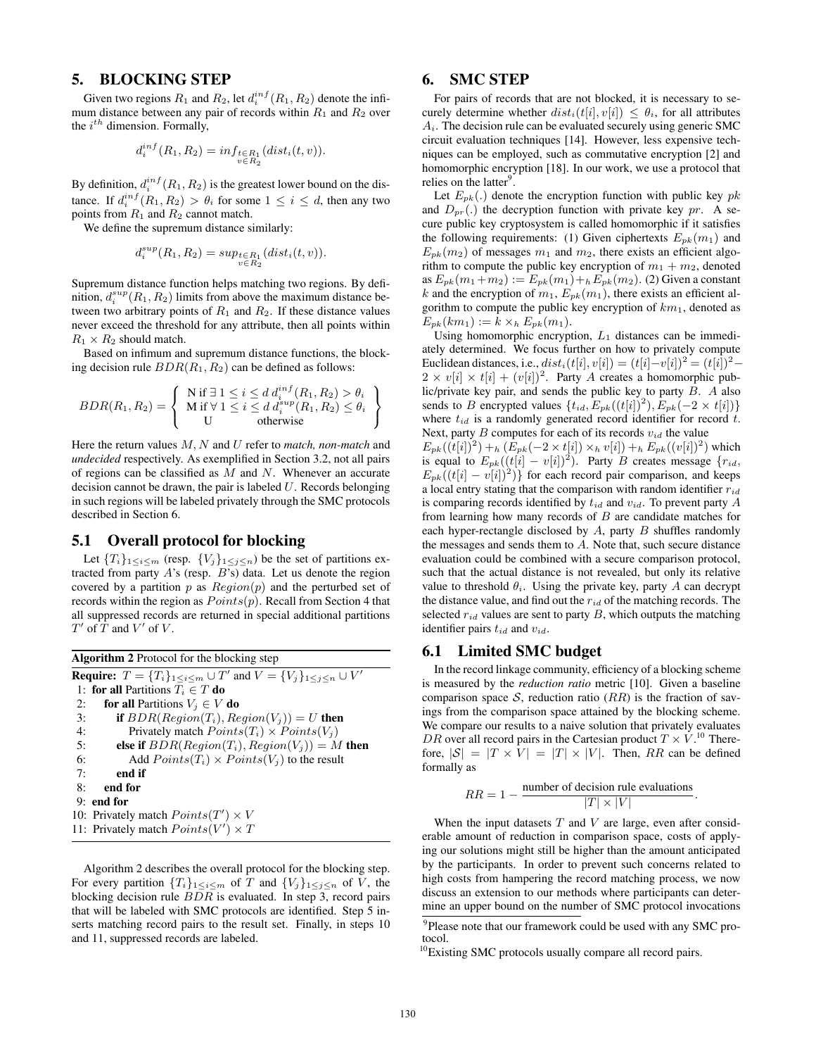# 5. BLOCKING STEP

Given two regions  $R_1$  and  $R_2$ , let  $d_i^{inf}(R_1, R_2)$  denote the infimum distance between any pair of records within  $R_1$  and  $R_2$  over the  $i^{th}$  dimension. Formally,

$$
d_i^{inf}(R_1, R_2) = inf_{\substack{t \in R_1 \\ v \in R_2}}(dist_i(t, v)).
$$

By definition,  $d_i^{inf}(R_1, R_2)$  is the greatest lower bound on the distance. If  $d_i^{inf}(R_1, R_2) > \theta_i$  for some  $1 \leq i \leq d$ , then any two points from  $R_1$  and  $R_2$  cannot match.

We define the supremum distance similarly:

$$
d_i^{sup}(R_1,R_2) = sup_{\substack{t \in R_1 \\ v \in R_2}}(dist_i(t,v)).
$$

Supremum distance function helps matching two regions. By definition,  $d_i^{sup}(R_1, R_2)$  limits from above the maximum distance between two arbitrary points of  $R_1$  and  $R_2$ . If these distance values never exceed the threshold for any attribute, then all points within  $R_1 \times R_2$  should match.

Based on infimum and supremum distance functions, the blocking decision rule  $BDR(R_1, R_2)$  can be defined as follows:

$$
BDR(R_1, R_2) = \left\{ \begin{array}{l} N \text{ if } \exists \ 1 \leq i \leq d \ d_i^{inf}(R_1, R_2) > \theta_i \\ M \text{ if } \forall \ 1 \leq i \leq d \ d_i^{sup}(R_1, R_2) \leq \theta_i \\ U \qquad \text{otherwise} \end{array} \right\}
$$

Here the return values M, N and U refer to *match, non-match* and *undecided* respectively. As exemplified in Section 3.2, not all pairs of regions can be classified as  $M$  and  $N$ . Whenever an accurate decision cannot be drawn, the pair is labeled  $U$ . Records belonging in such regions will be labeled privately through the SMC protocols described in Section 6.

## 5.1 Overall protocol for blocking

Let  ${T_i}_{1 \leq i \leq m}$  (resp.  ${V_j}_{1 \leq j \leq n}$ ) be the set of partitions extracted from party  $A$ 's (resp.  $B$ 's) data. Let us denote the region covered by a partition  $p$  as  $Region(p)$  and the perturbed set of records within the region as  $Points(p)$ . Recall from Section 4 that all suppressed records are returned in special additional partitions  $T'$  of  $\overline{T}$  and  $V'$  of  $V$ .

| <b>Algorithm 2</b> Protocol for the blocking step                                               |                                                    |
|-------------------------------------------------------------------------------------------------|----------------------------------------------------|
| <b>Require:</b> $T = \{T_i\}_{1 \le i \le m} \cup T'$ and $V = \{V_j\}_{1 \le j \le n} \cup V'$ |                                                    |
|                                                                                                 | 1: for all Partitions $T_i \in T$ do               |
| 2:                                                                                              | <b>for all Partitions</b> $V_i \in V$ <b>do</b>    |
| 3:                                                                                              | <b>if</b> $BDR(Region(T_i), Region(V_i)) = U$ then |
| 4:                                                                                              | Privately match $Points(T_i) \times Points(V_i)$   |
| 5:                                                                                              | else if $BDR(Region(T_i), Region(V_i)) = M$ then   |
| 6:                                                                                              | Add $Points(T_i) \times Points(V_i)$ to the result |
| 7:                                                                                              | end if                                             |
| 8:                                                                                              | end for                                            |
|                                                                                                 | $9:$ end for                                       |
|                                                                                                 | 10: Privately match $Points(T') \times V$          |
|                                                                                                 | 11: Privately match $Points(V') \times T$          |

Algorithm 2 describes the overall protocol for the blocking step. For every partition  ${T_i}_{1 \leq i \leq m}$  of T and  ${V_j}_{1 \leq j \leq n}$  of V, the blocking decision rule BDR is evaluated. In step 3, record pairs that will be labeled with SMC protocols are identified. Step 5 inserts matching record pairs to the result set. Finally, in steps 10 and 11, suppressed records are labeled.

# 6. SMC STEP

For pairs of records that are not blocked, it is necessary to securely determine whether  $dist_i(t[i], v[i]) \leq \theta_i$ , for all attributes  $A_i$ . The decision rule can be evaluated securely using generic SMC circuit evaluation techniques [14]. However, less expensive techniques can be employed, such as commutative encryption [2] and homomorphic encryption [18]. In our work, we use a protocol that relies on the latter<sup>9</sup>.

Let  $E_{pk}(.)$  denote the encryption function with public key  $pk$ and  $D_{pr}$ .) the decryption function with private key pr. A secure public key cryptosystem is called homomorphic if it satisfies the following requirements: (1) Given ciphertexts  $E_{pk}(m_1)$  and  $E_{pk}(m_2)$  of messages  $m_1$  and  $m_2$ , there exists an efficient algorithm to compute the public key encryption of  $m_1 + m_2$ , denoted as  $E_{pk}(m_1+m_2) := E_{pk}(m_1) + {}_{h}E_{pk}(m_2)$ . (2) Given a constant k and the encryption of  $m_1$ ,  $E_{pk}(m_1)$ , there exists an efficient algorithm to compute the public key encryption of  $km<sub>1</sub>$ , denoted as  $E_{pk}(km_1) := k \times_h E_{pk}(m_1).$ 

Using homomorphic encryption,  $L_1$  distances can be immediately determined. We focus further on how to privately compute Euclidean distances, i.e.,  $dist_i(t[i], v[i]) = (t[i] - v[i])^2 = (t[i])^2 2 \times v[i] \times t[i] + (v[i])^2$ . Party A creates a homomorphic public/private key pair, and sends the public key to party  $B$ . A also sends to B encrypted values  $\{t_{id}, E_{pk}((t[i])^2), E_{pk}(-2 \times t[i])\}$ where  $t_{id}$  is a randomly generated record identifier for record  $t$ . Next, party  $B$  computes for each of its records  $v_{id}$  the value  $E_{pk}((t[i])^2) +_h (\tilde{E}_{pk}(-2 \times t[i]) \times_h v[i]) +_h E_{pk}((v[i])^2)$  which is equal to  $E_{pk}((t[i] - v[i])^2)$ . Party B creates message  $\{r_{id},$  $E_{pk}((t[i] - v[i])^2)$  for each record pair comparison, and keeps a local entry stating that the comparison with random identifier  $r_{id}$ is comparing records identified by  $t_{id}$  and  $v_{id}$ . To prevent party A from learning how many records of  $B$  are candidate matches for each hyper-rectangle disclosed by  $A$ , party  $B$  shuffles randomly the messages and sends them to A. Note that, such secure distance evaluation could be combined with a secure comparison protocol, such that the actual distance is not revealed, but only its relative value to threshold  $\theta_i$ . Using the private key, party A can decrypt the distance value, and find out the  $r_{id}$  of the matching records. The selected  $r_{id}$  values are sent to party  $B$ , which outputs the matching identifier pairs  $t_{id}$  and  $v_{id}$ .

#### 6.1 Limited SMC budget

In the record linkage community, efficiency of a blocking scheme is measured by the *reduction ratio* metric [10]. Given a baseline comparison space  $S$ , reduction ratio  $(RR)$  is the fraction of savings from the comparison space attained by the blocking scheme. We compare our results to a naive solution that privately evaluates DR over all record pairs in the Cartesian product  $T \times V$ .<sup>10</sup> Therefore,  $|S| = |T \times V| = |T| \times |V|$ . Then, RR can be defined formally as

$$
RR = 1 - \frac{\text{number of decision rule evaluations}}{|T| \times |V|}
$$

.

When the input datasets  $T$  and  $V$  are large, even after considerable amount of reduction in comparison space, costs of applying our solutions might still be higher than the amount anticipated by the participants. In order to prevent such concerns related to high costs from hampering the record matching process, we now discuss an extension to our methods where participants can determine an upper bound on the number of SMC protocol invocations

<sup>&</sup>lt;sup>9</sup>Please note that our framework could be used with any SMC protocol.

<sup>&</sup>lt;sup>10</sup>Existing SMC protocols usually compare all record pairs.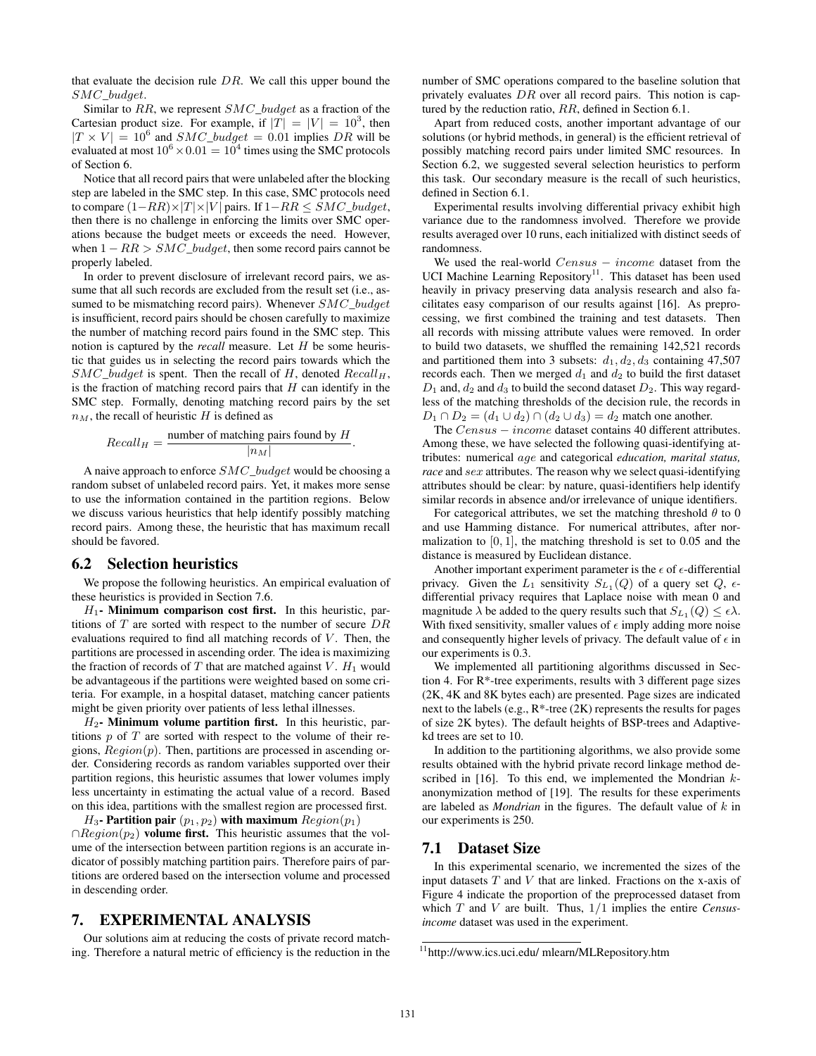that evaluate the decision rule  $DR$ . We call this upper bound the SMC\_budget.

Similar to  $RR$ , we represent  $SMC_budqet$  as a fraction of the Cartesian product size. For example, if  $|T| = |V| = 10^3$ , then  $|T \times V| = 10^6$  and  $SMC_budget = 0.01$  implies DR will be evaluated at most  $10^6 \times 0.01 = 10^4$  times using the SMC protocols of Section 6.

Notice that all record pairs that were unlabeled after the blocking step are labeled in the SMC step. In this case, SMC protocols need to compare  $(1–RR) \times |T| \times |V|$  pairs. If  $1–RR ≤ SMC_budget$ , then there is no challenge in enforcing the limits over SMC operations because the budget meets or exceeds the need. However, when  $1 - RR > SMC\_budget$ , then some record pairs cannot be properly labeled.

In order to prevent disclosure of irrelevant record pairs, we assume that all such records are excluded from the result set (i.e., assumed to be mismatching record pairs). Whenever  $SMC\_budget$ is insufficient, record pairs should be chosen carefully to maximize the number of matching record pairs found in the SMC step. This notion is captured by the *recall* measure. Let H be some heuristic that guides us in selecting the record pairs towards which the  $SMC\_budget$  is spent. Then the recall of H, denoted  $Recall<sub>H</sub>$ , is the fraction of matching record pairs that  $H$  can identify in the SMC step. Formally, denoting matching record pairs by the set  $n<sub>M</sub>$ , the recall of heuristic H is defined as

$$
Recall_H = \frac{\text{number of matching pairs found by } H}{|n_M|}
$$

.

A naive approach to enforce  $SMC_budqet$  would be choosing a random subset of unlabeled record pairs. Yet, it makes more sense to use the information contained in the partition regions. Below we discuss various heuristics that help identify possibly matching record pairs. Among these, the heuristic that has maximum recall should be favored.

#### 6.2 Selection heuristics

We propose the following heuristics. An empirical evaluation of these heuristics is provided in Section 7.6.

 $H_1$ - Minimum comparison cost first. In this heuristic, partitions of  $T$  are sorted with respect to the number of secure  $DR$ evaluations required to find all matching records of  $V$ . Then, the partitions are processed in ascending order. The idea is maximizing the fraction of records of  $T$  that are matched against  $V$ .  $H_1$  would be advantageous if the partitions were weighted based on some criteria. For example, in a hospital dataset, matching cancer patients might be given priority over patients of less lethal illnesses.

 $H_2$ - Minimum volume partition first. In this heuristic, partitions  $p$  of  $T$  are sorted with respect to the volume of their regions,  $Region(p)$ . Then, partitions are processed in ascending order. Considering records as random variables supported over their partition regions, this heuristic assumes that lower volumes imply less uncertainty in estimating the actual value of a record. Based on this idea, partitions with the smallest region are processed first.

 $H_3$ - Partition pair  $(p_1, p_2)$  with maximum  $Region(p_1)$  $\cap Region(p_2)$  volume first. This heuristic assumes that the volume of the intersection between partition regions is an accurate indicator of possibly matching partition pairs. Therefore pairs of partitions are ordered based on the intersection volume and processed in descending order.

# 7. EXPERIMENTAL ANALYSIS

Our solutions aim at reducing the costs of private record matching. Therefore a natural metric of efficiency is the reduction in the number of SMC operations compared to the baseline solution that privately evaluates DR over all record pairs. This notion is captured by the reduction ratio, RR, defined in Section 6.1.

Apart from reduced costs, another important advantage of our solutions (or hybrid methods, in general) is the efficient retrieval of possibly matching record pairs under limited SMC resources. In Section 6.2, we suggested several selection heuristics to perform this task. Our secondary measure is the recall of such heuristics, defined in Section 6.1.

Experimental results involving differential privacy exhibit high variance due to the randomness involved. Therefore we provide results averaged over 10 runs, each initialized with distinct seeds of randomness.

We used the real-world  $Census - income$  dataset from the UCI Machine Learning Repository<sup>11</sup>. This dataset has been used heavily in privacy preserving data analysis research and also facilitates easy comparison of our results against [16]. As preprocessing, we first combined the training and test datasets. Then all records with missing attribute values were removed. In order to build two datasets, we shuffled the remaining 142,521 records and partitioned them into 3 subsets:  $d_1, d_2, d_3$  containing 47,507 records each. Then we merged  $d_1$  and  $d_2$  to build the first dataset  $D_1$  and,  $d_2$  and  $d_3$  to build the second dataset  $D_2$ . This way regardless of the matching thresholds of the decision rule, the records in  $D_1 \cap D_2 = (d_1 \cup d_2) \cap (d_2 \cup d_3) = d_2$  match one another.

The Census – income dataset contains 40 different attributes. Among these, we have selected the following quasi-identifying attributes: numerical age and categorical *education, marital status, race* and *sex* attributes. The reason why we select quasi-identifying attributes should be clear: by nature, quasi-identifiers help identify similar records in absence and/or irrelevance of unique identifiers.

For categorical attributes, we set the matching threshold  $\theta$  to 0 and use Hamming distance. For numerical attributes, after normalization to  $[0, 1]$ , the matching threshold is set to 0.05 and the distance is measured by Euclidean distance.

Another important experiment parameter is the  $\epsilon$  of  $\epsilon$ -differential privacy. Given the  $L_1$  sensitivity  $S_{L_1}(Q)$  of a query set  $Q$ ,  $\epsilon$ differential privacy requires that Laplace noise with mean 0 and magnitude  $\lambda$  be added to the query results such that  $S_{L_1}(Q) \leq \epsilon \lambda$ . With fixed sensitivity, smaller values of  $\epsilon$  imply adding more noise and consequently higher levels of privacy. The default value of  $\epsilon$  in our experiments is 0.3.

We implemented all partitioning algorithms discussed in Section 4. For R\*-tree experiments, results with 3 different page sizes (2K, 4K and 8K bytes each) are presented. Page sizes are indicated next to the labels (e.g., R\*-tree (2K) represents the results for pages of size 2K bytes). The default heights of BSP-trees and Adaptivekd trees are set to 10.

In addition to the partitioning algorithms, we also provide some results obtained with the hybrid private record linkage method described in  $[16]$ . To this end, we implemented the Mondrian  $k$ anonymization method of [19]. The results for these experiments are labeled as *Mondrian* in the figures. The default value of k in our experiments is 250.

#### 7.1 Dataset Size

In this experimental scenario, we incremented the sizes of the input datasets  $T$  and  $V$  that are linked. Fractions on the x-axis of Figure 4 indicate the proportion of the preprocessed dataset from which T and V are built. Thus, 1/1 implies the entire *Censusincome* dataset was used in the experiment.

<sup>11</sup>http://www.ics.uci.edu/ mlearn/MLRepository.htm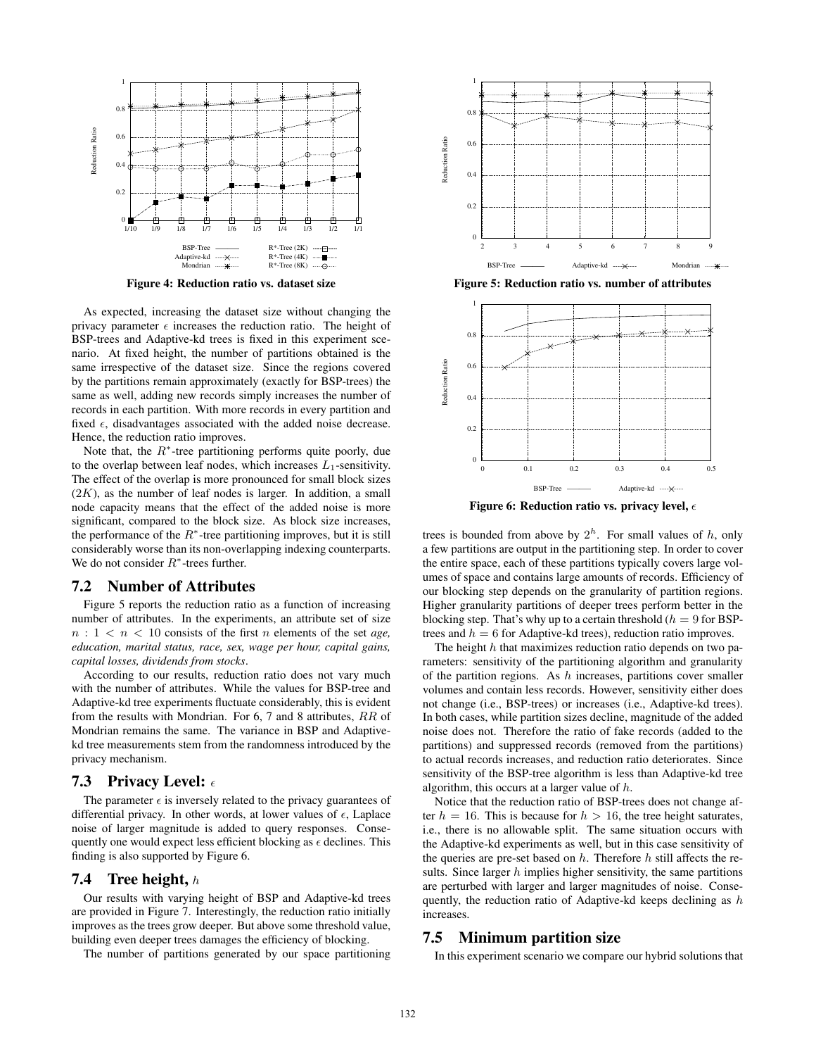

Figure 4: Reduction ratio vs. dataset size

As expected, increasing the dataset size without changing the privacy parameter  $\epsilon$  increases the reduction ratio. The height of BSP-trees and Adaptive-kd trees is fixed in this experiment scenario. At fixed height, the number of partitions obtained is the same irrespective of the dataset size. Since the regions covered by the partitions remain approximately (exactly for BSP-trees) the same as well, adding new records simply increases the number of records in each partition. With more records in every partition and fixed  $\epsilon$ , disadvantages associated with the added noise decrease. Hence, the reduction ratio improves.

Note that, the  $R^*$ -tree partitioning performs quite poorly, due to the overlap between leaf nodes, which increases  $L_1$ -sensitivity. The effect of the overlap is more pronounced for small block sizes  $(2K)$ , as the number of leaf nodes is larger. In addition, a small node capacity means that the effect of the added noise is more significant, compared to the block size. As block size increases, the performance of the  $R^*$ -tree partitioning improves, but it is still considerably worse than its non-overlapping indexing counterparts. We do not consider  $R^*$ -trees further.

## 7.2 Number of Attributes

Figure 5 reports the reduction ratio as a function of increasing number of attributes. In the experiments, an attribute set of size  $n: 1 < n < 10$  consists of the first *n* elements of the set *age*, *education, marital status, race, sex, wage per hour, capital gains, capital losses, dividends from stocks*.

According to our results, reduction ratio does not vary much with the number of attributes. While the values for BSP-tree and Adaptive-kd tree experiments fluctuate considerably, this is evident from the results with Mondrian. For 6, 7 and 8 attributes, RR of Mondrian remains the same. The variance in BSP and Adaptivekd tree measurements stem from the randomness introduced by the privacy mechanism.

#### 7.3 Privacy Level:  $\epsilon$

The parameter  $\epsilon$  is inversely related to the privacy guarantees of differential privacy. In other words, at lower values of  $\epsilon$ , Laplace noise of larger magnitude is added to query responses. Consequently one would expect less efficient blocking as  $\epsilon$  declines. This finding is also supported by Figure 6.

# **7.4** Tree height,  $h$

Our results with varying height of BSP and Adaptive-kd trees are provided in Figure 7. Interestingly, the reduction ratio initially improves as the trees grow deeper. But above some threshold value, building even deeper trees damages the efficiency of blocking.

The number of partitions generated by our space partitioning



Figure 5: Reduction ratio vs. number of attributes



Figure 6: Reduction ratio vs. privacy level,  $\epsilon$ 

trees is bounded from above by  $2^h$ . For small values of h, only a few partitions are output in the partitioning step. In order to cover the entire space, each of these partitions typically covers large volumes of space and contains large amounts of records. Efficiency of our blocking step depends on the granularity of partition regions. Higher granularity partitions of deeper trees perform better in the blocking step. That's why up to a certain threshold  $(h = 9$  for BSPtrees and  $h = 6$  for Adaptive-kd trees), reduction ratio improves.

The height  $h$  that maximizes reduction ratio depends on two parameters: sensitivity of the partitioning algorithm and granularity of the partition regions. As  $h$  increases, partitions cover smaller volumes and contain less records. However, sensitivity either does not change (i.e., BSP-trees) or increases (i.e., Adaptive-kd trees). In both cases, while partition sizes decline, magnitude of the added noise does not. Therefore the ratio of fake records (added to the partitions) and suppressed records (removed from the partitions) to actual records increases, and reduction ratio deteriorates. Since sensitivity of the BSP-tree algorithm is less than Adaptive-kd tree algorithm, this occurs at a larger value of h.

Notice that the reduction ratio of BSP-trees does not change after  $h = 16$ . This is because for  $h > 16$ , the tree height saturates, i.e., there is no allowable split. The same situation occurs with the Adaptive-kd experiments as well, but in this case sensitivity of the queries are pre-set based on  $h$ . Therefore  $h$  still affects the results. Since larger  $h$  implies higher sensitivity, the same partitions are perturbed with larger and larger magnitudes of noise. Consequently, the reduction ratio of Adaptive-kd keeps declining as  $h$ increases.

## 7.5 Minimum partition size

In this experiment scenario we compare our hybrid solutions that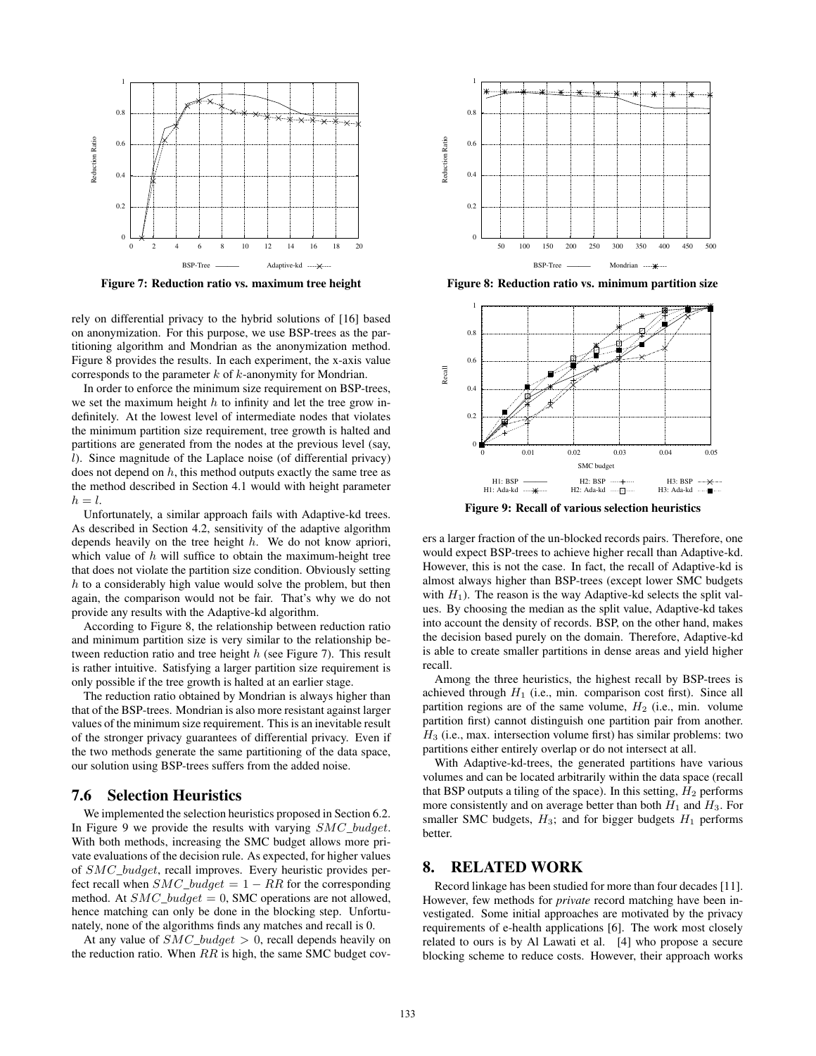

Figure 7: Reduction ratio vs. maximum tree height

rely on differential privacy to the hybrid solutions of [16] based on anonymization. For this purpose, we use BSP-trees as the partitioning algorithm and Mondrian as the anonymization method. Figure 8 provides the results. In each experiment, the x-axis value corresponds to the parameter  $k$  of  $k$ -anonymity for Mondrian.

In order to enforce the minimum size requirement on BSP-trees, we set the maximum height  $h$  to infinity and let the tree grow indefinitely. At the lowest level of intermediate nodes that violates the minimum partition size requirement, tree growth is halted and partitions are generated from the nodes at the previous level (say,  $l$ ). Since magnitude of the Laplace noise (of differential privacy) does not depend on  $h$ , this method outputs exactly the same tree as the method described in Section 4.1 would with height parameter  $h = l$ .

Unfortunately, a similar approach fails with Adaptive-kd trees. As described in Section 4.2, sensitivity of the adaptive algorithm depends heavily on the tree height h. We do not know apriori, which value of  $h$  will suffice to obtain the maximum-height tree that does not violate the partition size condition. Obviously setting  $h$  to a considerably high value would solve the problem, but then again, the comparison would not be fair. That's why we do not provide any results with the Adaptive-kd algorithm.

According to Figure 8, the relationship between reduction ratio and minimum partition size is very similar to the relationship between reduction ratio and tree height h (see Figure 7). This result is rather intuitive. Satisfying a larger partition size requirement is only possible if the tree growth is halted at an earlier stage.

The reduction ratio obtained by Mondrian is always higher than that of the BSP-trees. Mondrian is also more resistant against larger values of the minimum size requirement. This is an inevitable result of the stronger privacy guarantees of differential privacy. Even if the two methods generate the same partitioning of the data space, our solution using BSP-trees suffers from the added noise.

## 7.6 Selection Heuristics

We implemented the selection heuristics proposed in Section 6.2. In Figure 9 we provide the results with varying SMC\_budget. With both methods, increasing the SMC budget allows more private evaluations of the decision rule. As expected, for higher values of SMC\_budget, recall improves. Every heuristic provides perfect recall when  $SMC\_budget = 1 - RR$  for the corresponding method. At  $SMC_budqet = 0$ , SMC operations are not allowed, hence matching can only be done in the blocking step. Unfortunately, none of the algorithms finds any matches and recall is 0.

At any value of  $SMC_budqet > 0$ , recall depends heavily on the reduction ratio. When  $RR$  is high, the same SMC budget cov-



Figure 8: Reduction ratio vs. minimum partition size



Figure 9: Recall of various selection heuristics

ers a larger fraction of the un-blocked records pairs. Therefore, one would expect BSP-trees to achieve higher recall than Adaptive-kd. However, this is not the case. In fact, the recall of Adaptive-kd is almost always higher than BSP-trees (except lower SMC budgets with  $H_1$ ). The reason is the way Adaptive-kd selects the split values. By choosing the median as the split value, Adaptive-kd takes into account the density of records. BSP, on the other hand, makes the decision based purely on the domain. Therefore, Adaptive-kd is able to create smaller partitions in dense areas and yield higher recall.

Among the three heuristics, the highest recall by BSP-trees is achieved through  $H_1$  (i.e., min. comparison cost first). Since all partition regions are of the same volume,  $H_2$  (i.e., min. volume partition first) cannot distinguish one partition pair from another.  $H_3$  (i.e., max. intersection volume first) has similar problems: two partitions either entirely overlap or do not intersect at all.

With Adaptive-kd-trees, the generated partitions have various volumes and can be located arbitrarily within the data space (recall that BSP outputs a tiling of the space). In this setting,  $H_2$  performs more consistently and on average better than both  $H_1$  and  $H_3$ . For smaller SMC budgets,  $H_3$ ; and for bigger budgets  $H_1$  performs better.

#### 8. RELATED WORK

Record linkage has been studied for more than four decades [11]. However, few methods for *private* record matching have been investigated. Some initial approaches are motivated by the privacy requirements of e-health applications [6]. The work most closely related to ours is by Al Lawati et al. [4] who propose a secure blocking scheme to reduce costs. However, their approach works